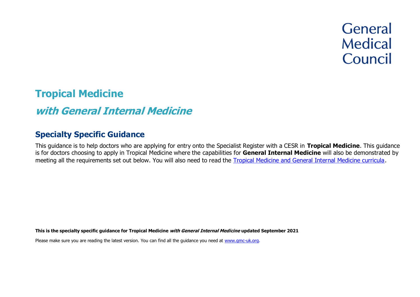# **General Medical** Council

# **Tropical Medicine**

# **with General Internal Medicine**

# **Specialty Specific Guidance**

This guidance is to help doctors who are applying for entry onto the Specialist Register with a CESR in **Tropical Medicine**. This guidance is for doctors choosing to apply in Tropical Medicine where the capabilities for **General Internal Medicine** will also be demonstrated by meeting all the requirements set out below. You will also need to read the [Tropical Medicine and General Internal Medicine curricula.](https://www.gmc-uk.org/education/standards-guidance-and-curricula/curricula%23T)

**This is the specialty specific guidance for Tropical Medicine with General Internal Medicine updated September 2021**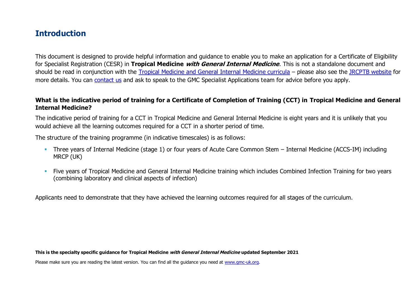# **Introduction**

This document is designed to provide helpful information and guidance to enable you to make an application for a Certificate of Eligibility for Specialist Registration (CESR) in **Tropical Medicine with General Internal Medicine**. This is not a standalone document and should be read in conjunction with the [Tropical Medicine and General Internal Medicine curricula](https://www.gmc-uk.org/education/standards-guidance-and-curricula/curricula%23T) – please also see the [JRCPTB website](https://www.jrcptb.org.uk/specialties/infectious-diseases-and-tropical-medicine) for more details. You can [contact us](http://www.gmc-uk.org/about/contacts.asp) and ask to speak to the GMC Specialist Applications team for advice before you apply.

#### **What is the indicative period of training for a Certificate of Completion of Training (CCT) in Tropical Medicine and General Internal Medicine?**

The indicative period of training for a CCT in Tropical Medicine and General Internal Medicine is eight years and it is unlikely that you would achieve all the learning outcomes required for a CCT in a shorter period of time.

The structure of the training programme (in indicative timescales) is as follows:

- **Three years of Internal Medicine (stage 1) or four years of Acute Care Common Stem Internal Medicine (ACCS-IM) including** MRCP (UK)
- **EXT** Five years of Tropical Medicine and General Internal Medicine training which includes Combined Infection Training for two years (combining laboratory and clinical aspects of infection)

Applicants need to demonstrate that they have achieved the learning outcomes required for all stages of the curriculum.

**This is the specialty specific guidance for Tropical Medicine with General Internal Medicine updated September 2021**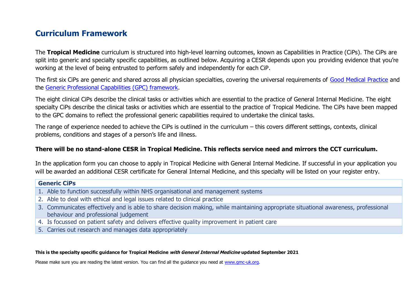# **Curriculum Framework**

The **Tropical Medicine** curriculum is structured into high-level learning outcomes, known as Capabilities in Practice (CiPs). The CiPs are split into generic and specialty specific capabilities, as outlined below. Acquiring a CESR depends upon you providing evidence that you're working at the level of being entrusted to perform safely and independently for each CiP.

The first six CiPs are generic and shared across all physician specialties, covering the universal requirements of [Good Medical Practice](https://www.gmc-uk.org/-/media/documents/good-medical-practice---english-20200128_pdf-51527435.pdf?la=en&hash=DA1263358CCA88F298785FE2BD7610EB4EE9A530) and the [Generic Professional Capabilities \(GPC\) framework.](https://www.gmc-uk.org/-/media/documents/generic-professional-capabilities-framework--0817_pdf-70417127.pdf)

The eight clinical CiPs describe the clinical tasks or activities which are essential to the practice of General Internal Medicine. The eight specialty CiPs describe the clinical tasks or activities which are essential to the practice of Tropical Medicine. The CiPs have been mapped to the GPC domains to reflect the professional generic capabilities required to undertake the clinical tasks.

The range of experience needed to achieve the CiPs is outlined in the curriculum – this covers different settings, contexts, clinical problems, conditions and stages of a person's life and illness.

#### **There will be no stand-alone CESR in Tropical Medicine. This reflects service need and mirrors the CCT curriculum.**

In the application form you can choose to apply in Tropical Medicine with General Internal Medicine. If successful in your application you will be awarded an additional CESR certificate for General Internal Medicine, and this specialty will be listed on your register entry.

#### **Generic CiPs**

- 1. Able to function successfully within NHS organisational and management systems
- 2. Able to deal with ethical and legal issues related to clinical practice
- 3. Communicates effectively and is able to share decision making, while maintaining appropriate situational awareness, professional behaviour and professional judgement
- 4. Is focussed on patient safety and delivers effective quality improvement in patient care
- 5. Carries out research and manages data appropriately

#### **This is the specialty specific guidance for Tropical Medicine with General Internal Medicine updated September 2021**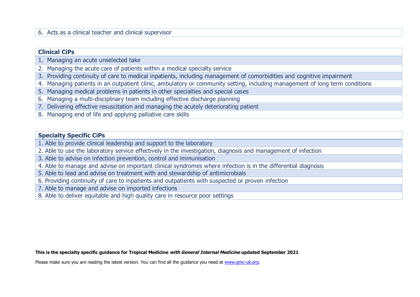#### 6. Acts as a clinical teacher and clinical supervisor

#### **Clinical CiPs**

- 1. Managing an acute unselected take
- 2. Managing the acute care of patients within a medical specialty service
- 3. Providing continuity of care to medical inpatients, including management of comorbidities and cognitive impairment
- 4. Managing patients in an outpatient clinic, ambulatory or community setting, including management of long term conditions
- 5. Managing medical problems in patients in other specialties and special cases
- 6. Managing a multi-disciplinary team including effective discharge planning
- 7. Delivering effective resuscitation and managing the acutely deteriorating patient
- 8. Managing end of life and applying palliative care skills

#### **Specialty Specific CiPs**

- 1. Able to provide clinical leadership and support to the laboratory
- 2. Able to use the laboratory service effectively in the investigation, diagnosis and management of infection
- 3. Able to advise on infection prevention, control and immunisation
- 4. Able to manage and advise on important clinical syndromes where infection is in the differential diagnosis
- 5. Able to lead and advise on treatment with and stewardship of antimicrobials
- 6. Providing continuity of care to inpatients and outpatients with suspected or proven infection
- 7. Able to manage and advise on imported infections
- 8. Able to deliver equitable and high quality care in resource poor settings

#### **This is the specialty specific guidance for Tropical Medicine with General Internal Medicine updated September 2021**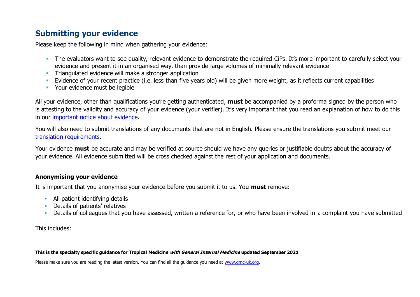# **Submitting your evidence**

Please keep the following in mind when gathering your evidence:

- **•** The evaluators want to see quality, relevant evidence to demonstrate the required CiPs. It's more important to carefully select your evidence and present it in an organised way, than provide large volumes of minimally relevant evidence
- **•** Triangulated evidence will make a stronger application
- Evidence of your recent practice (i.e. less than five years old) will be given more weight, as it reflects current capabilities
- Your evidence must be legible

All your evidence, other than qualifications you're getting authenticated, **must** be accompanied by a proforma signed by the person who is attesting to the validity and accuracy of your evidence (your verifier). It's very important that you read an explanation of how to do this in our [important notice about evidence.](http://www.gmc-uk.org/doctors/evidence_notice.asp)

You will also need to submit translations of any documents that are not in English. Please ensure the translations you submit meet our [translation requirements.](http://www.gmc-uk.org/doctors/translations.asp)

Your evidence **must** be accurate and may be verified at source should we have any queries or justifiable doubts about the accuracy of your evidence. All evidence submitted will be cross checked against the rest of your application and documents.

#### **Anonymising your evidence**

It is important that you anonymise your evidence before you submit it to us. You **must** remove:

- **E** All patient identifying details
- **•** Details of patients' relatives
- **•** Details of colleagues that you have assessed, written a reference for, or who have been involved in a complaint you have submitted

This includes:

#### **This is the specialty specific guidance for Tropical Medicine with General Internal Medicine updated September 2021**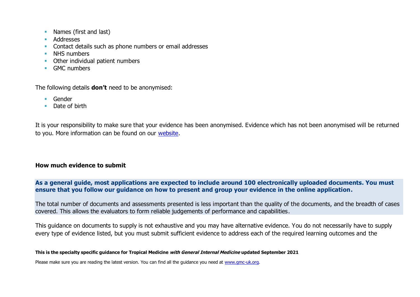- Names (first and last)
- Addresses
- **Contact details such as phone numbers or email addresses**
- **E** NHS numbers
- Other individual patient numbers
- **GMC numbers**

The following details **don't** need to be anonymised:

- Gender
- Date of birth

It is your responsibility to make sure that your evidence has been anonymised. Evidence which has not been anonymised will be returned to you. More information can be found on our [website.](https://www.gmc-uk.org/registration-and-licensing/join-the-register/registration-applications/cesr-cegpr-application-process/anonymisation)

#### **How much evidence to submit**

**As a general guide, most applications are expected to include around 100 electronically uploaded documents. You must ensure that you follow our guidance on how to present and group your evidence in the online application.**

The total number of documents and assessments presented is less important than the quality of the documents, and the breadth of cases covered. This allows the evaluators to form reliable judgements of performance and capabilities.

This guidance on documents to supply is not exhaustive and you may have alternative evidence. You do not necessarily have to supply every type of evidence listed, but you must submit sufficient evidence to address each of the required learning outcomes and the

#### **This is the specialty specific guidance for Tropical Medicine with General Internal Medicine updated September 2021**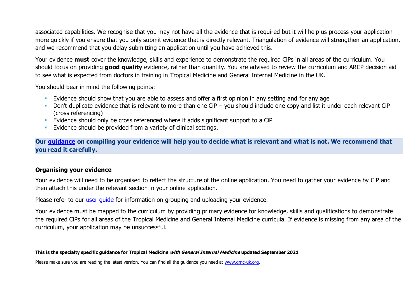associated capabilities. We recognise that you may not have all the evidence that is required but it will help us process your application more quickly if you ensure that you only submit evidence that is directly relevant. Triangulation of evidence will strengthen an application, and we recommend that you delay submitting an application until you have achieved this.

Your evidence **must** cover the knowledge, skills and experience to demonstrate the required CiPs in all areas of the curriculum. You should focus on providing **good quality** evidence, rather than quantity. You are advised to review the curriculum and ARCP decision aid to see what is expected from doctors in training in Tropical Medicine and General Internal Medicine in the UK.

You should bear in mind the following points:

- **Evidence should show that you are able to assess and offer a first opinion in any setting and for any age**
- Don't duplicate evidence that is relevant to more than one CiP you should include one copy and list it under each relevant CiP (cross referencing)
- **Evidence should only be cross referenced where it adds significant support to a CiP**
- **E**vidence should be provided from a variety of clinical settings.

**Our [guidance](https://www.gmc-uk.org/-/media/documents/sat---cesr-cegpr-online-application---user-guide---dc11550_pdf-76194730.pdf) on compiling your evidence will help you to decide what is relevant and what is not. We recommend that you read it carefully.**

#### **Organising your evidence**

Your evidence will need to be organised to reflect the structure of the online application. You need to gather your evidence by CiP and then attach this under the relevant section in your online application.

Please refer to our user quide for information on grouping and uploading your evidence.

Your evidence must be mapped to the curriculum by providing primary evidence for knowledge, skills and qualifications to demonstrate the required CiPs for all areas of the Tropical Medicine and General Internal Medicine curricula. If evidence is missing from any area of the curriculum, your application may be unsuccessful.

#### **This is the specialty specific guidance for Tropical Medicine with General Internal Medicine updated September 2021**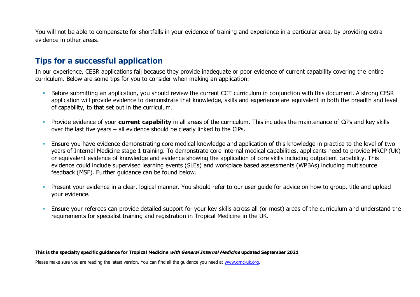You will not be able to compensate for shortfalls in your evidence of training and experience in a particular area, by providing extra evidence in other areas.

# **Tips for a successful application**

In our experience, CESR applications fail because they provide inadequate or poor evidence of current capability covering the entire curriculum. Below are some tips for you to consider when making an application:

- Before submitting an application, you should review the current CCT curriculum in conjunction with this document. A strong CESR application will provide evidence to demonstrate that knowledge, skills and experience are equivalent in both the breadth and level of capability, to that set out in the curriculum.
- **•** Provide evidence of your **current capability** in all areas of the curriculum. This includes the maintenance of CiPs and key skills over the last five years – all evidence should be clearly linked to the CiPs.
- Ensure you have evidence demonstrating core medical knowledge and application of this knowledge in practice to the level of two years of Internal Medicine stage 1 training. To demonstrate core internal medical capabilities, applicants need to provide MRCP (UK) or equivalent evidence of knowledge and evidence showing the application of core skills including outpatient capability. This evidence could include supervised learning events (SLEs) and workplace based assessments (WPBAs) including multisource feedback (MSF). Further guidance can be found below.
- Present your evidence in a clear, logical manner. You should refer to our user guide for advice on how to group, title and upload your evidence.
- Ensure your referees can provide detailed support for your key skills across all (or most) areas of the curriculum and understand the requirements for specialist training and registration in Tropical Medicine in the UK.

#### **This is the specialty specific guidance for Tropical Medicine with General Internal Medicine updated September 2021**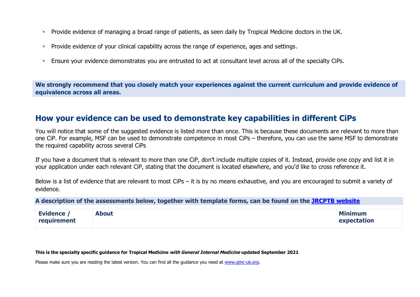- **Provide evidence of managing a broad range of patients, as seen daily by Tropical Medicine doctors in the UK.**
- **Provide evidence of your clinical capability across the range of experience, ages and settings.**
- **Ensure your evidence demonstrates you are entrusted to act at consultant level across all of the specialty CiPs.**

**We strongly recommend that you closely match your experiences against the current curriculum and provide evidence of equivalence across all areas.** 

#### **How your evidence can be used to demonstrate key capabilities in different CiPs**

You will notice that some of the suggested evidence is listed more than once. This is because these documents are relevant to more than one CiP. For example, MSF can be used to demonstrate competence in most CiPs – therefore, you can use the same MSF to demonstrate the required capability across several CiPs

If you have a document that is relevant to more than one CiP, don't include multiple copies of it. Instead, provide one copy and list it in your application under each relevant CiP, stating that the document is located elsewhere, and you'd like to cross reference it.

Below is a list of evidence that are relevant to most CiPs – it is by no means exhaustive, and you are encouraged to submit a variety of evidence.

**A description of the assessments below, together with template forms, can be found on the [JRCPTB website](https://www.jrcptb.org.uk/assessment/workplace-based-assessment)**

| <b>Evidence /</b> | <b>About</b> | <b>Minimum</b> |
|-------------------|--------------|----------------|
| requirement       |              | expectation    |

#### **This is the specialty specific guidance for Tropical Medicine with General Internal Medicine updated September 2021**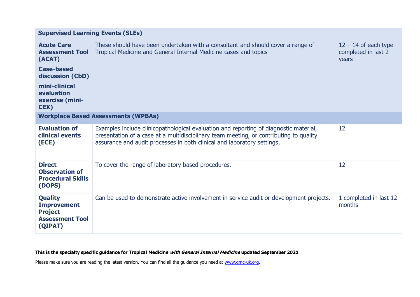| <b>Supervised Learning Events (SLEs)</b> |  |  |  |
|------------------------------------------|--|--|--|
|------------------------------------------|--|--|--|

| <b>Acute Care</b><br><b>Assessment Tool</b><br>(ACAT)<br><b>Case-based</b><br>discussion (CbD)<br>mini-clinical<br>evaluation<br>exercise (mini-<br><b>CEX)</b> | These should have been undertaken with a consultant and should cover a range of<br>Tropical Medicine and General Internal Medicine cases and topics                                                                                                        | $12 - 14$ of each type<br>completed in last 2<br>years |
|-----------------------------------------------------------------------------------------------------------------------------------------------------------------|------------------------------------------------------------------------------------------------------------------------------------------------------------------------------------------------------------------------------------------------------------|--------------------------------------------------------|
|                                                                                                                                                                 | <b>Workplace Based Assessments (WPBAs)</b>                                                                                                                                                                                                                 |                                                        |
| <b>Evaluation of</b><br>clinical events<br>(ECE)                                                                                                                | Examples include clinicopathological evaluation and reporting of diagnostic material,<br>presentation of a case at a multidisciplinary team meeting, or contributing to quality<br>assurance and audit processes in both clinical and laboratory settings. | 12                                                     |
| <b>Direct</b><br><b>Observation of</b><br><b>Procedural Skills</b><br>(DOPS)                                                                                    | To cover the range of laboratory based procedures.                                                                                                                                                                                                         | 12                                                     |
| <b>Quality</b><br><b>Improvement</b><br><b>Project</b><br><b>Assessment Tool</b><br>(QIPAT)                                                                     | Can be used to demonstrate active involvement in service audit or development projects.                                                                                                                                                                    | 1 completed in last 12<br>months                       |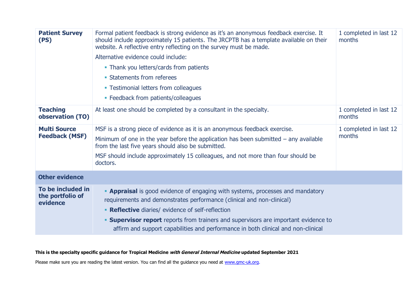| <b>Patient Survey</b><br>(PS)                     | Formal patient feedback is strong evidence as it's an anonymous feedback exercise. It<br>should include approximately 15 patients. The JRCPTB has a template available on their<br>website. A reflective entry reflecting on the survey must be made.<br>Alternative evidence could include:<br>• Thank you letters/cards from patients<br>• Statements from referees<br>• Testimonial letters from colleagues<br>• Feedback from patients/colleagues | 1 completed in last 12<br>months |
|---------------------------------------------------|-------------------------------------------------------------------------------------------------------------------------------------------------------------------------------------------------------------------------------------------------------------------------------------------------------------------------------------------------------------------------------------------------------------------------------------------------------|----------------------------------|
| <b>Teaching</b><br>observation (TO)               | At least one should be completed by a consultant in the specialty.                                                                                                                                                                                                                                                                                                                                                                                    | 1 completed in last 12<br>months |
| <b>Multi Source</b><br><b>Feedback (MSF)</b>      | MSF is a strong piece of evidence as it is an anonymous feedback exercise.<br>Minimum of one in the year before the application has been submitted $-$ any available<br>from the last five years should also be submitted.<br>MSF should include approximately 15 colleagues, and not more than four should be<br>doctors.                                                                                                                            | 1 completed in last 12<br>months |
| <b>Other evidence</b>                             |                                                                                                                                                                                                                                                                                                                                                                                                                                                       |                                  |
| To be included in<br>the portfolio of<br>evidence | <b>- Appraisal</b> is good evidence of engaging with systems, processes and mandatory<br>requirements and demonstrates performance (clinical and non-clinical)<br>• Reflective diaries/ evidence of self-reflection<br><b>Supervisor report</b> reports from trainers and supervisors are important evidence to<br>affirm and support capabilities and performance in both clinical and non-clinical                                                  |                                  |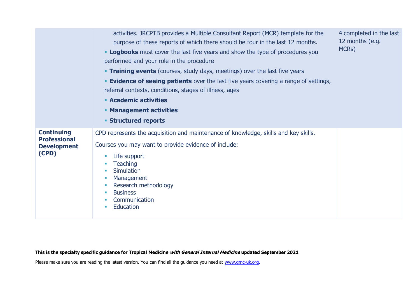|                                                                         | activities. JRCPTB provides a Multiple Consultant Report (MCR) template for the<br>purpose of these reports of which there should be four in the last 12 months.<br><b>- Logbooks</b> must cover the last five years and show the type of procedures you<br>performed and your role in the procedure<br><b>Training events</b> (courses, study days, meetings) over the last five years<br><b>Evidence of seeing patients</b> over the last five years covering a range of settings,<br>referral contexts, conditions, stages of illness, ages<br><b>Academic activities</b><br><b>• Management activities</b><br><b>Structured reports</b> | 4 completed in the last<br>12 months (e.g.<br>MCR <sub>S</sub> ) |
|-------------------------------------------------------------------------|---------------------------------------------------------------------------------------------------------------------------------------------------------------------------------------------------------------------------------------------------------------------------------------------------------------------------------------------------------------------------------------------------------------------------------------------------------------------------------------------------------------------------------------------------------------------------------------------------------------------------------------------|------------------------------------------------------------------|
| <b>Continuing</b><br><b>Professional</b><br><b>Development</b><br>(CPD) | CPD represents the acquisition and maintenance of knowledge, skills and key skills.<br>Courses you may want to provide evidence of include:<br>Life support<br><b>I</b><br><b>Teaching</b><br><b>I</b><br>Simulation<br><b>The</b><br>Management<br><b>I</b><br>Research methodology<br><b>I</b><br><b>Business</b><br>$\mathcal{L}_{\mathcal{A}}$<br>Communication<br>Education<br><b>The State</b>                                                                                                                                                                                                                                        |                                                                  |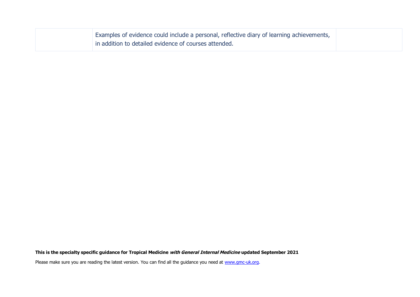| Examples of evidence could include a personal, reflective diary of learning achievements, |
|-------------------------------------------------------------------------------------------|
| in addition to detailed evidence of courses attended.                                     |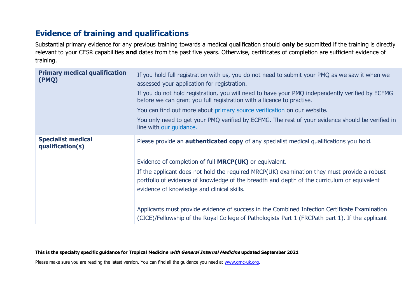# **Evidence of training and qualifications**

Substantial primary evidence for any previous training towards a medical qualification should **only** be submitted if the training is directly relevant to your CESR capabilities **and** dates from the past five years. Otherwise, certificates of completion are sufficient evidence of training.

| <b>Primary medical qualification</b><br>(PMQ) | If you hold full registration with us, you do not need to submit your PMQ as we saw it when we<br>assessed your application for registration.<br>If you do not hold registration, you will need to have your PMQ independently verified by ECFMG<br>before we can grant you full registration with a licence to practise.<br>You can find out more about primary source verification on our website.<br>You only need to get your PMQ verified by ECFMG. The rest of your evidence should be verified in<br>line with our guidance.                                                                              |
|-----------------------------------------------|------------------------------------------------------------------------------------------------------------------------------------------------------------------------------------------------------------------------------------------------------------------------------------------------------------------------------------------------------------------------------------------------------------------------------------------------------------------------------------------------------------------------------------------------------------------------------------------------------------------|
| <b>Specialist medical</b><br>qualification(s) | Please provide an <b>authenticated copy</b> of any specialist medical qualifications you hold.<br>Evidence of completion of full <b>MRCP(UK)</b> or equivalent.<br>If the applicant does not hold the required MRCP(UK) examination they must provide a robust<br>portfolio of evidence of knowledge of the breadth and depth of the curriculum or equivalent<br>evidence of knowledge and clinical skills.<br>Applicants must provide evidence of success in the Combined Infection Certificate Examination<br>(CICE)/Fellowship of the Royal College of Pathologists Part 1 (FRCPath part 1). If the applicant |

**This is the specialty specific guidance for Tropical Medicine with General Internal Medicine updated September 2021**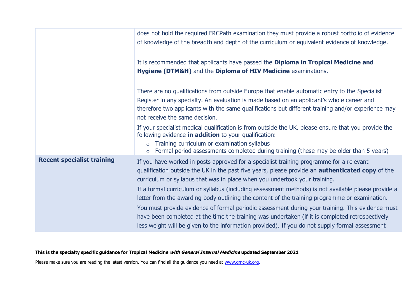|                                   | does not hold the required FRCPath examination they must provide a robust portfolio of evidence<br>of knowledge of the breadth and depth of the curriculum or equivalent evidence of knowledge.                                                                                                                                                                                                        |
|-----------------------------------|--------------------------------------------------------------------------------------------------------------------------------------------------------------------------------------------------------------------------------------------------------------------------------------------------------------------------------------------------------------------------------------------------------|
|                                   | It is recommended that applicants have passed the Diploma in Tropical Medicine and<br>Hygiene (DTM&H) and the Diploma of HIV Medicine examinations.                                                                                                                                                                                                                                                    |
|                                   | There are no qualifications from outside Europe that enable automatic entry to the Specialist<br>Register in any specialty. An evaluation is made based on an applicant's whole career and<br>therefore two applicants with the same qualifications but different training and/or experience may<br>not receive the same decision.                                                                     |
|                                   | If your specialist medical qualification is from outside the UK, please ensure that you provide the<br>following evidence in addition to your qualification:<br>Training curriculum or examination syllabus<br>$\circ$<br>Formal period assessments completed during training (these may be older than 5 years)<br>$\circ$                                                                             |
| <b>Recent specialist training</b> | If you have worked in posts approved for a specialist training programme for a relevant<br>qualification outside the UK in the past five years, please provide an <b>authenticated copy</b> of the<br>curriculum or syllabus that was in place when you undertook your training.<br>If a formal curriculum or syllabus (including assessment methods) is not available please provide a                |
|                                   | letter from the awarding body outlining the content of the training programme or examination.<br>You must provide evidence of formal periodic assessment during your training. This evidence must<br>have been completed at the time the training was undertaken (if it is completed retrospectively<br>less weight will be given to the information provided). If you do not supply formal assessment |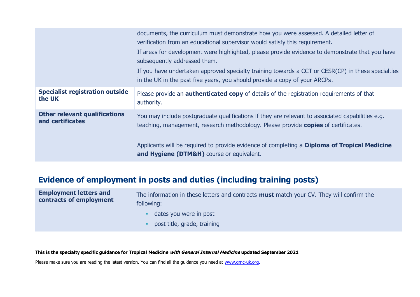|                                        | documents, the curriculum must demonstrate how you were assessed. A detailed letter of<br>verification from an educational supervisor would satisfy this requirement.<br>If areas for development were highlighted, please provide evidence to demonstrate that you have<br>subsequently addressed them.<br>If you have undertaken approved specialty training towards a CCT or CESR(CP) in these specialties<br>in the UK in the past five years, you should provide a copy of your ARCPs. |
|----------------------------------------|---------------------------------------------------------------------------------------------------------------------------------------------------------------------------------------------------------------------------------------------------------------------------------------------------------------------------------------------------------------------------------------------------------------------------------------------------------------------------------------------|
| <b>Specialist registration outside</b> | Please provide an <b>authenticated copy</b> of details of the registration requirements of that                                                                                                                                                                                                                                                                                                                                                                                             |
| the UK                                 | authority.                                                                                                                                                                                                                                                                                                                                                                                                                                                                                  |
| <b>Other relevant qualifications</b>   | You may include postgraduate qualifications if they are relevant to associated capabilities e.g.                                                                                                                                                                                                                                                                                                                                                                                            |
| and certificates                       | teaching, management, research methodology. Please provide copies of certificates.                                                                                                                                                                                                                                                                                                                                                                                                          |
|                                        | Applicants will be required to provide evidence of completing a <b>Diploma of Tropical Medicine</b><br>and Hygiene (DTM&H) course or equivalent.                                                                                                                                                                                                                                                                                                                                            |

# **Evidence of employment in posts and duties (including training posts)**

| <b>Employment letters and</b><br>contracts of employment | The information in these letters and contracts <b>must</b> match your CV. They will confirm the<br>following: |  |
|----------------------------------------------------------|---------------------------------------------------------------------------------------------------------------|--|
|                                                          | dates you were in post                                                                                        |  |
|                                                          | post title, grade, training                                                                                   |  |

**This is the specialty specific guidance for Tropical Medicine with General Internal Medicine updated September 2021**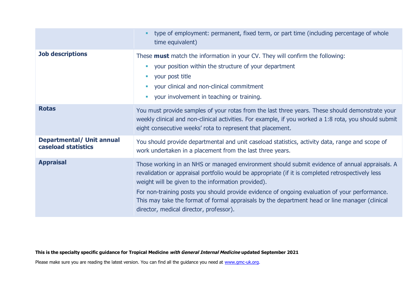|                                                         | type of employment: permanent, fixed term, or part time (including percentage of whole<br>time equivalent)                                                                                                                                                                                                                                                                                                                                                                                             |
|---------------------------------------------------------|--------------------------------------------------------------------------------------------------------------------------------------------------------------------------------------------------------------------------------------------------------------------------------------------------------------------------------------------------------------------------------------------------------------------------------------------------------------------------------------------------------|
| <b>Job descriptions</b>                                 | These <b>must</b> match the information in your CV. They will confirm the following:<br>your position within the structure of your department<br>٠<br>your post title<br>$\mathbb{R}^n$<br>your clinical and non-clinical commitment<br>$\mathcal{L}_{\mathcal{A}}$<br>your involvement in teaching or training.<br>$\mathcal{L}_{\mathcal{A}}$                                                                                                                                                        |
| <b>Rotas</b>                                            | You must provide samples of your rotas from the last three years. These should demonstrate your<br>weekly clinical and non-clinical activities. For example, if you worked a 1:8 rota, you should submit<br>eight consecutive weeks' rota to represent that placement.                                                                                                                                                                                                                                 |
| <b>Departmental/ Unit annual</b><br>caseload statistics | You should provide departmental and unit caseload statistics, activity data, range and scope of<br>work undertaken in a placement from the last three years.                                                                                                                                                                                                                                                                                                                                           |
| <b>Appraisal</b>                                        | Those working in an NHS or managed environment should submit evidence of annual appraisals. A<br>revalidation or appraisal portfolio would be appropriate (if it is completed retrospectively less<br>weight will be given to the information provided).<br>For non-training posts you should provide evidence of ongoing evaluation of your performance.<br>This may take the format of formal appraisals by the department head or line manager (clinical<br>director, medical director, professor). |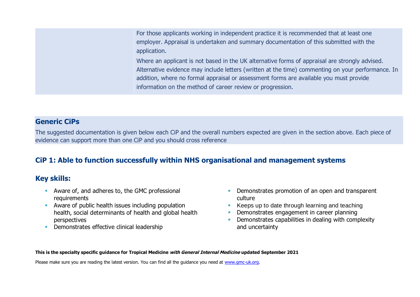For those applicants working in independent practice it is recommended that at least one employer. Appraisal is undertaken and summary documentation of this submitted with the application.

Where an applicant is not based in the UK alternative forms of appraisal are strongly advised. Alternative evidence may include letters (written at the time) commenting on your performance. In addition, where no formal appraisal or assessment forms are available you must provide information on the method of career review or progression.

#### **Generic CiPs**

The suggested documentation is given below each CiP and the overall numbers expected are given in the section above. Each piece of evidence can support more than one CiP and you should cross reference

## **CiP 1: Able to function successfully within NHS organisational and management systems**

#### **Key skills:**

- Aware of, and adheres to, the GMC professional requirements
- Aware of public health issues including population health, social determinants of health and global health perspectives
- **•** Demonstrates effective clinical leadership
- **Demonstrates promotion of an open and transparent** culture
- Keeps up to date through learning and teaching
- **Demonstrates engagement in career planning**
- **•** Demonstrates capabilities in dealing with complexity and uncertainty

**This is the specialty specific guidance for Tropical Medicine with General Internal Medicine updated September 2021**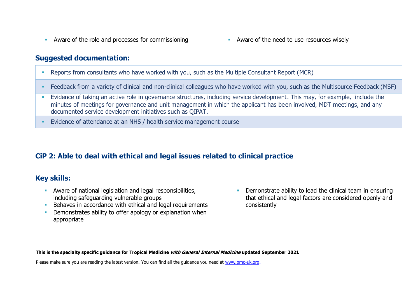- Aware of the role and processes for commissioning Aware of the need to use resources wisely
	-

- Reports from consultants who have worked with you, such as the Multiple Consultant Report (MCR)
- Feedback from a variety of clinical and non-clinical colleagues who have worked with you, such as the Multisource Feedback (MSF)
- Evidence of taking an active role in governance structures, including service development. This may, for example, include the minutes of meetings for governance and unit management in which the applicant has been involved, MDT meetings, and any documented service development initiatives such as QIPAT.
- Evidence of attendance at an NHS / health service management course

## **CiP 2: Able to deal with ethical and legal issues related to clinical practice**

#### **Key skills:**

- **EXECT** Aware of national legislation and legal responsibilities, including safeguarding vulnerable groups
- Behaves in accordance with ethical and legal requirements
- **Demonstrates ability to offer apology or explanation when** appropriate
- **Demonstrate ability to lead the clinical team in ensuring** that ethical and legal factors are considered openly and consistently

**This is the specialty specific guidance for Tropical Medicine with General Internal Medicine updated September 2021**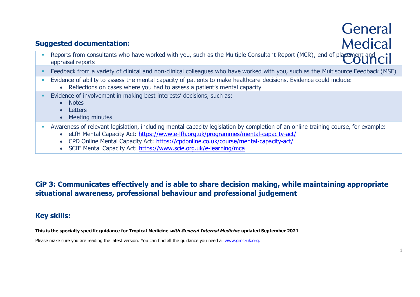# General **Medical**

## **Suggested documentation:**

- Reports from consultants who have worked with you, such as the Multiple Consultant Report (MCR), end of placement and appraisal reports
- Feedback from a variety of clinical and non-clinical colleagues who have worked with you, such as the Multisource Feedback (MSF)
- Evidence of ability to assess the mental capacity of patients to make healthcare decisions. Evidence could include:
	- Reflections on cases where you had to assess a patient's mental capacity
- **Evidence of involvement in making best interests' decisions, such as:** 
	- Notes
	- Letters
	- Meeting minutes
- Awareness of relevant legislation, including mental capacity legislation by completion of an online training course, for example:
	- eLfH Mental Capacity Act:<https://www.e-lfh.org.uk/programmes/mental-capacity-act/>
	- CPD Online Mental Capacity Act:<https://cpdonline.co.uk/course/mental-capacity-act/>
	- SCIE Mental Capacity Act:<https://www.scie.org.uk/e-learning/mca>

## **CiP 3: Communicates effectively and is able to share decision making, while maintaining appropriate situational awareness, professional behaviour and professional judgement**

## **Key skills:**

**This is the specialty specific guidance for Tropical Medicine with General Internal Medicine updated September 2021**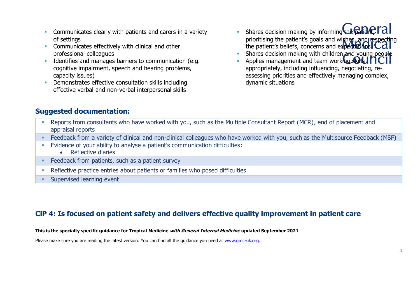- **EXECOMMUNICATELY COMMUNICATES** clearly with patients and carers in a variety of settings
- **EXECOMMUNICATELY EXECUTE COMMUNICATES EFFECTIVELY With clinical and other** professional colleagues
- **EXECUTE:** Identifies and manages barriers to communication (e.g. cognitive impairment, speech and hearing problems, capacity issues)
- **•** Demonstrates effective consultation skills including effective verbal and non-verbal interpersonal skills
- Shares decision making by informing the patient  $\mathsf{rad}$ prioritising the patient's goals and wishes, and respecting the patient's beliefs, concerns and expeditions  $Cd$
- Shares decision making with children and young people
- Applies management and team working skills  $\overline{\text{TC}}$ appropriately, including influencing, negotiating, reassessing priorities and effectively managing complex, dynamic situations

- Reports from consultants who have worked with you, such as the Multiple Consultant Report (MCR), end of placement and appraisal reports
- Feedback from a variety of clinical and non-clinical colleagues who have worked with you, such as the Multisource Feedback (MSF)
- Evidence of your ability to analyse a patient's communication difficulties:
	- Reflective diaries
- **EXECO FROM EXECO F FEEDBACK** from patients, such as a patient survey
- **•** Reflective practice entries about patients or families who posed difficulties
- **EXECUTE:** Supervised learning event

#### **CiP 4: Is focused on patient safety and delivers effective quality improvement in patient care**

#### **This is the specialty specific guidance for Tropical Medicine with General Internal Medicine updated September 2021**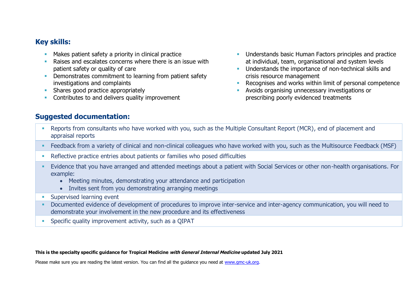#### **Key skills:**

- **■** Makes patient safety a priority in clinical practice
- Raises and escalates concerns where there is an issue with patient safety or quality of care
- **•** Demonstrates commitment to learning from patient safety investigations and complaints
- **EXECUTE:** Shares good practice appropriately
- **Contributes to and delivers quality improvement**
- **■** Understands basic Human Factors principles and practice at individual, team, organisational and system levels
- **■** Understands the importance of non-technical skills and crisis resource management
- Recognises and works within limit of personal competence
- Avoids organising unnecessary investigations or prescribing poorly evidenced treatments

#### **Suggested documentation:**

- Reports from consultants who have worked with you, such as the Multiple Consultant Report (MCR), end of placement and appraisal reports
- Feedback from a variety of clinical and non-clinical colleagues who have worked with you, such as the Multisource Feedback (MSF)
- **•** Reflective practice entries about patients or families who posed difficulties
- Evidence that you have arranged and attended meetings about a patient with Social Services or other non-health organisations. For example:
	- Meeting minutes, demonstrating your attendance and participation
	- Invites sent from you demonstrating arranging meetings
- **EXECUTE:** Supervised learning event
- Documented evidence of development of procedures to improve inter-service and inter-agency communication, you will need to demonstrate your involvement in the new procedure and its effectiveness
- Specific quality improvement activity, such as a QIPAT

#### **This is the specialty specific guidance for Tropical Medicine with General Internal Medicine updated July 2021**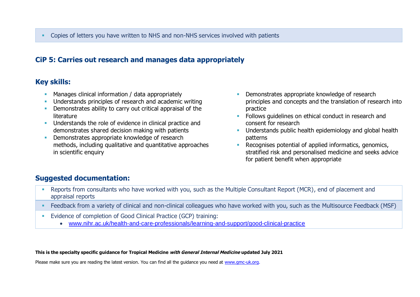## **CiP 5: Carries out research and manages data appropriately**

## **Key skills:**

- **EXECT** Manages clinical information / data appropriately
- **Understands principles of research and academic writing**
- **•** Demonstrates ability to carry out critical appraisal of the literature
- **EXECUTE:** Understands the role of evidence in clinical practice and demonstrates shared decision making with patients
- **Demonstrates appropriate knowledge of research** methods, including qualitative and quantitative approaches in scientific enquiry
- **EXECUTE:** Demonstrates appropriate knowledge of research principles and concepts and the translation of research into practice
- Follows guidelines on ethical conduct in research and consent for research
- Understands public health epidemiology and global health patterns
- Recognises potential of applied informatics, genomics, stratified risk and personalised medicine and seeks advice for patient benefit when appropriate

## **Suggested documentation:**

- Reports from consultants who have worked with you, such as the Multiple Consultant Report (MCR), end of placement and appraisal reports
- Feedback from a variety of clinical and non-clinical colleagues who have worked with you, such as the Multisource Feedback (MSF)
- Evidence of completion of Good Clinical Practice (GCP) training:
	- [www.nihr.ac.uk/health-and-care-professionals/learning-and-support/good-clinical-practice](https://www.nihr.ac.uk/health-and-care-professionals/learning-and-support/good-clinical-practice.htm)

**This is the specialty specific guidance for Tropical Medicine with General Internal Medicine updated July 2021**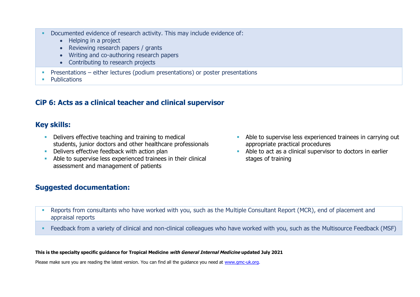- Documented evidence of research activity. This may include evidence of:
	- Helping in a project
	- Reviewing research papers / grants
	- Writing and co-authoring research papers
	- Contributing to research projects
- **•** Presentations either lectures (podium presentations) or poster presentations
- Publications

## **CiP 6: Acts as a clinical teacher and clinical supervisor**

## **Key skills:**

- Delivers effective teaching and training to medical students, junior doctors and other healthcare professionals
- **E** Delivers effective feedback with action plan
- Able to supervise less experienced trainees in their clinical assessment and management of patients
- Able to supervise less experienced trainees in carrying out appropriate practical procedures
- Able to act as a clinical supervisor to doctors in earlier stages of training

## **Suggested documentation:**

- Reports from consultants who have worked with you, such as the Multiple Consultant Report (MCR), end of placement and appraisal reports
- Feedback from a variety of clinical and non-clinical colleagues who have worked with you, such as the Multisource Feedback (MSF)

#### **This is the specialty specific guidance for Tropical Medicine with General Internal Medicine updated July 2021**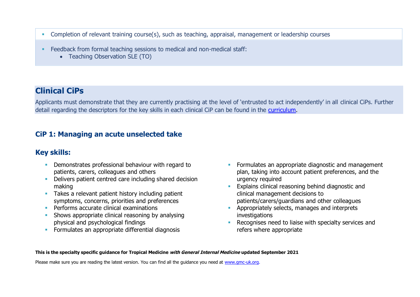- **Completion of relevant training course(s), such as teaching, appraisal, management or leadership courses**
- Feedback from formal teaching sessions to medical and non-medical staff:
	- Teaching Observation SLE (TO)

# **Clinical CiPs**

Applicants must demonstrate that they are currently practising at the level of 'entrusted to act independently' in all clinical CiPs. Further detail regarding the descriptors for the key skills in each clinical CiP can be found in the [curriculum.](https://www.gmc-uk.org/education/standards-guidance-and-curricula/curricula#T)

## **CiP 1: Managing an acute unselected take**

## **Key skills:**

- **•** Demonstrates professional behaviour with regard to patients, carers, colleagues and others
- Delivers patient centred care including shared decision making
- **EXEC** Takes a relevant patient history including patient symptoms, concerns, priorities and preferences
- **•** Performs accurate clinical examinations
- Shows appropriate clinical reasoning by analysing physical and psychological findings
- **EXECUTE:** Formulates an appropriate differential diagnosis
- **•** Formulates an appropriate diagnostic and management plan, taking into account patient preferences, and the urgency required
- **Explains clinical reasoning behind diagnostic and** clinical management decisions to patients/carers/guardians and other colleagues
- **EXP** Appropriately selects, manages and interprets investigations
- **EXECOGNISES NEED to liaise with specialty services and** refers where appropriate

#### **This is the specialty specific guidance for Tropical Medicine with General Internal Medicine updated September 2021**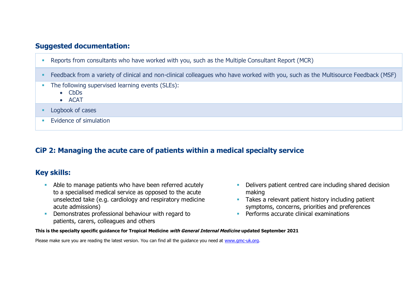- Reports from consultants who have worked with you, such as the Multiple Consultant Report (MCR)
- Feedback from a variety of clinical and non-clinical colleagues who have worked with you, such as the Multisource Feedback (MSF)
- **The following supervised learning events (SLEs):** 
	- CbDs
	- ACAT
- **•** Logbook of cases
- **Evidence of simulation**

#### **CiP 2: Managing the acute care of patients within a medical specialty service**

#### **Key skills:**

- **EXECT** Able to manage patients who have been referred acutely to a specialised medical service as opposed to the acute unselected take (e.g. cardiology and respiratory medicine acute admissions)
- **EXECUTE:** Demonstrates professional behaviour with regard to patients, carers, colleagues and others
- **•** Delivers patient centred care including shared decision making
- **EXECT:** Takes a relevant patient history including patient symptoms, concerns, priorities and preferences
- **•** Performs accurate clinical examinations

**This is the specialty specific guidance for Tropical Medicine with General Internal Medicine updated September 2021**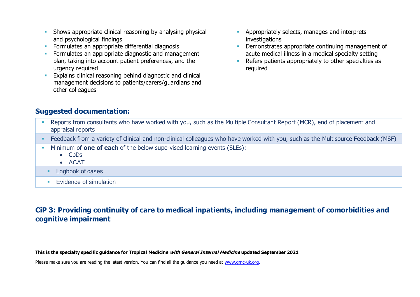- **EXECT** Shows appropriate clinical reasoning by analysing physical and psychological findings
- **EXECTE Formulates an appropriate differential diagnosis**
- **•** Formulates an appropriate diagnostic and management plan, taking into account patient preferences, and the urgency required
- **Explains clinical reasoning behind diagnostic and clinical** management decisions to patients/carers/guardians and other colleagues
- **EXP** Appropriately selects, manages and interprets investigations
- Demonstrates appropriate continuing management of acute medical illness in a medical specialty setting
- Refers patients appropriately to other specialties as required

- Reports from consultants who have worked with you, such as the Multiple Consultant Report (MCR), end of placement and appraisal reports
- Feedback from a variety of clinical and non-clinical colleagues who have worked with you, such as the Multisource Feedback (MSF)
- **EXECUTE:** Minimum of **one of each** of the below supervised learning events (SLEs):
	- CbDs
	- ACAT
	- Logbook of cases
	- **Exidence of simulation**

## **CiP 3: Providing continuity of care to medical inpatients, including management of comorbidities and cognitive impairment**

**This is the specialty specific guidance for Tropical Medicine with General Internal Medicine updated September 2021**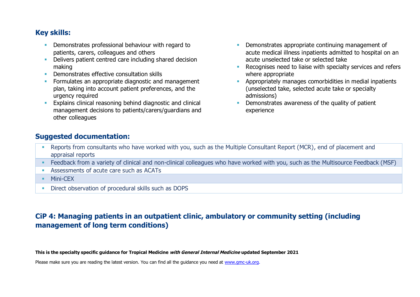## **Key skills:**

- **•** Demonstrates professional behaviour with regard to patients, carers, colleagues and others
- **•** Delivers patient centred care including shared decision making
- **Demonstrates effective consultation skills**
- **Formulates an appropriate diagnostic and management** plan, taking into account patient preferences, and the urgency required
- **Explains clinical reasoning behind diagnostic and clinical** management decisions to patients/carers/guardians and other colleagues
- Demonstrates appropriate continuing management of acute medical illness inpatients admitted to hospital on an acute unselected take or selected take
- Recognises need to liaise with specialty services and refers where appropriate
- Appropriately manages comorbidities in medial inpatients (unselected take, selected acute take or specialty admissions)
- Demonstrates awareness of the quality of patient experience

#### **Suggested documentation:**

- Reports from consultants who have worked with you, such as the Multiple Consultant Report (MCR), end of placement and appraisal reports
- Feedback from a variety of clinical and non-clinical colleagues who have worked with you, such as the Multisource Feedback (MSF)
- Assessments of acute care such as ACATs
- **■** Mini-CEX
- **EXECT:** Direct observation of procedural skills such as DOPS

## **CiP 4: Managing patients in an outpatient clinic, ambulatory or community setting (including management of long term conditions)**

**This is the specialty specific guidance for Tropical Medicine with General Internal Medicine updated September 2021**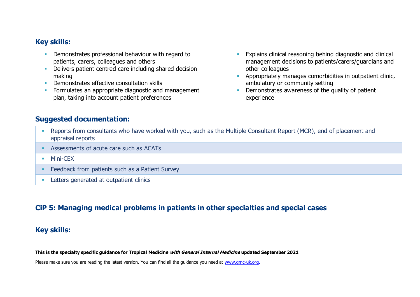#### **Key skills:**

- **•** Demonstrates professional behaviour with regard to patients, carers, colleagues and others
- **•** Delivers patient centred care including shared decision making
- **Demonstrates effective consultation skills**
- **Formulates an appropriate diagnostic and management** plan, taking into account patient preferences
- **Explains clinical reasoning behind diagnostic and clinical** management decisions to patients/carers/guardians and other colleagues
- **EXECUTE:** Appropriately manages comorbidities in outpatient clinic, ambulatory or community setting
- **Demonstrates awareness of the quality of patient** experience

#### **Suggested documentation:**

- Reports from consultants who have worked with you, such as the Multiple Consultant Report (MCR), end of placement and appraisal reports
- **EXECUTE:** Assessments of acute care such as ACATs
- Mini-CFX
- Feedback from patients such as a Patient Survey
- **EXECUTE:** Letters generated at outpatient clinics

#### **CiP 5: Managing medical problems in patients in other specialties and special cases**

#### **Key skills:**

**This is the specialty specific guidance for Tropical Medicine with General Internal Medicine updated September 2021**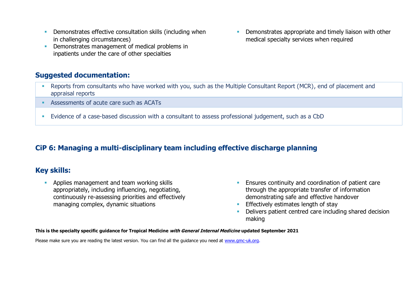- **EXECT** Demonstrates effective consultation skills (including when in challenging circumstances)
- **Demonstrates management of medical problems in** inpatients under the care of other specialties

- **EXECTS FREPORTS from consultants who have worked with you, such as the Multiple Consultant Report (MCR), end of placement and** appraisal reports
- Assessments of acute care such as ACATs
- **Evidence of a case-based discussion with a consultant to assess professional judgement, such as a CbD**

#### **CiP 6: Managing a multi-disciplinary team including effective discharge planning**

#### **Key skills:**

**• Applies management and team working skills** appropriately, including influencing, negotiating, continuously re-assessing priorities and effectively managing complex, dynamic situations

- Ensures continuity and coordination of patient care through the appropriate transfer of information demonstrating safe and effective handover
- **Effectively estimates length of stay**
- Delivers patient centred care including shared decision making

**This is the specialty specific guidance for Tropical Medicine with General Internal Medicine updated September 2021**

Please make sure you are reading the latest version. You can find all the guidance you need at [www.gmc-uk.org.](http://www.gmc-uk.org/)

**• Demonstrates appropriate and timely liaison with other** medical specialty services when required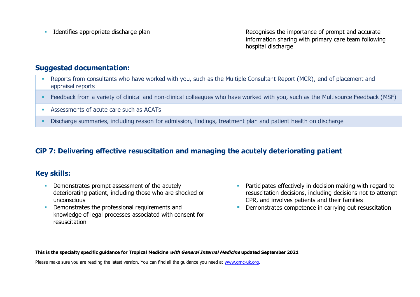**■** Identifies appropriate discharge plan Recognises the importance of prompt and accurate information sharing with primary care team following hospital discharge

#### **Suggested documentation:**

- Reports from consultants who have worked with you, such as the Multiple Consultant Report (MCR), end of placement and appraisal reports
- Feedback from a variety of clinical and non-clinical colleagues who have worked with you, such as the Multisource Feedback (MSF)
- Assessments of acute care such as ACATs
- **•** Discharge summaries, including reason for admission, findings, treatment plan and patient health on discharge

## **CiP 7: Delivering effective resuscitation and managing the acutely deteriorating patient**

#### **Key skills:**

- **Demonstrates prompt assessment of the acutely** deteriorating patient, including those who are shocked or unconscious
- **•** Demonstrates the professional requirements and knowledge of legal processes associated with consent for resuscitation
- **EXECT** Participates effectively in decision making with regard to resuscitation decisions, including decisions not to attempt CPR, and involves patients and their families
- **Demonstrates competence in carrying out resuscitation**

**This is the specialty specific guidance for Tropical Medicine with General Internal Medicine updated September 2021**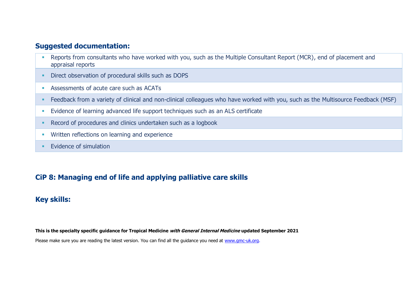- **Reports from consultants who have worked with you, such as the Multiple Consultant Report (MCR), end of placement and** appraisal reports
- **EXECT:** Direct observation of procedural skills such as DOPS
- Assessments of acute care such as ACATs
- Feedback from a variety of clinical and non-clinical colleagues who have worked with you, such as the Multisource Feedback (MSF)
- **Evidence of learning advanced life support techniques such as an ALS certificate**
- Record of procedures and clinics undertaken such as a logbook
- **■** Written reflections on learning and experience
- **Evidence of simulation**

## **CiP 8: Managing end of life and applying palliative care skills**

#### **Key skills:**

**This is the specialty specific guidance for Tropical Medicine with General Internal Medicine updated September 2021**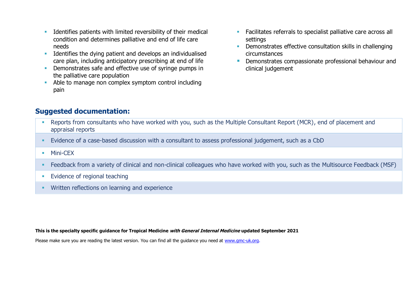- **■** Identifies patients with limited reversibility of their medical condition and determines palliative and end of life care needs
- **EXECUTE:** Identifies the dying patient and develops an individualised care plan, including anticipatory prescribing at end of life
- **Demonstrates safe and effective use of syringe pumps in** the palliative care population
- Able to manage non complex symptom control including pain
- **EXEC** Facilitates referrals to specialist palliative care across all settings
- **Demonstrates effective consultation skills in challenging** circumstances
- **Demonstrates compassionate professional behaviour and** clinical judgement

- **Reports from consultants who have worked with you, such as the Multiple Consultant Report (MCR), end of placement and** appraisal reports
- Evidence of a case-based discussion with a consultant to assess professional judgement, such as a CbD
- Mini-CFX
- Feedback from a variety of clinical and non-clinical colleagues who have worked with you, such as the Multisource Feedback (MSF)
- **Evidence of regional teaching**
- **Written reflections on learning and experience**

**This is the specialty specific guidance for Tropical Medicine with General Internal Medicine updated September 2021**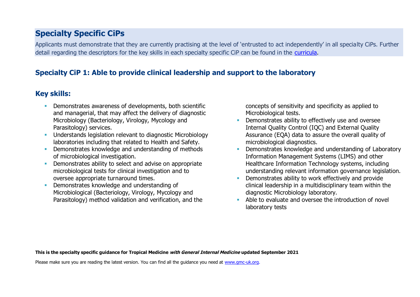# **Specialty Specific CiPs**

Applicants must demonstrate that they are currently practising at the level of 'entrusted to act independently' in all specialty CiPs. Further detail regarding the descriptors for the key skills in each specialty specific CiP can be found in the [curricula.](https://www.gmc-uk.org/education/standards-guidance-and-curricula/curricula#T)

## **Specialty CiP 1: Able to provide clinical leadership and support to the laboratory**

## **Key skills:**

- **Demonstrates awareness of developments, both scientific** and managerial, that may affect the delivery of diagnostic Microbiology (Bacteriology, Virology, Mycology and Parasitology) services.
- **■** Understands legislation relevant to diagnostic Microbiology laboratories including that related to Health and Safety.
- **Demonstrates knowledge and understanding of methods** of microbiological investigation.
- **Demonstrates ability to select and advise on appropriate** microbiological tests for clinical investigation and to oversee appropriate turnaround times.
- Demonstrates knowledge and understanding of Microbiological (Bacteriology, Virology, Mycology and Parasitology) method validation and verification, and the

concepts of sensitivity and specificity as applied to Microbiological tests.

- **•** Demonstrates ability to effectively use and oversee Internal Quality Control (IQC) and External Quality Assurance (EQA) data to assure the overall quality of microbiological diagnostics.
- Demonstrates knowledge and understanding of Laboratory Information Management Systems (LIMS) and other Healthcare Information Technology systems, including understanding relevant information governance legislation.
- Demonstrates ability to work effectively and provide clinical leadership in a multidisciplinary team within the diagnostic Microbiology laboratory.
- Able to evaluate and oversee the introduction of novel laboratory tests

**This is the specialty specific guidance for Tropical Medicine with General Internal Medicine updated September 2021**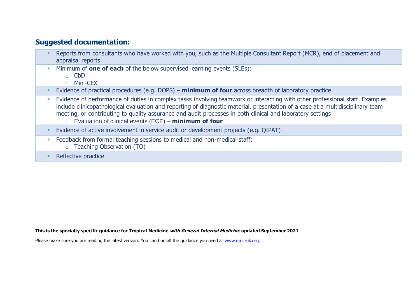- Reports from consultants who have worked with you, such as the Multiple Consultant Report (MCR), end of placement and appraisal reports
- Minimum of **one of each** of the below supervised learning events (SLEs):
	- o CbD
	- o Mini-CEX
- Evidence of practical procedures (e.g. DOPS) **minimum of four** across breadth of laboratory practice
- **Evidence of performance of duties in complex tasks involving teamwork or interacting with other professional staff. Examples "** include clinicopathological evaluation and reporting of diagnostic material, presentation of a case at a multidisciplinary team meeting, or contributing to quality assurance and audit processes in both clinical and laboratory settings
	- o Evaluation of clinical events (ECE) **minimum of four**
- **Evidence of active involvement in service audit or development projects (e.g. QIPAT)**
- **Example 2** Feedback from formal teaching sessions to medical and non-medical staff:
	- o Teaching Observation (TO)
- Reflective practice

**This is the specialty specific guidance for Tropical Medicine with General Internal Medicine updated September 2021**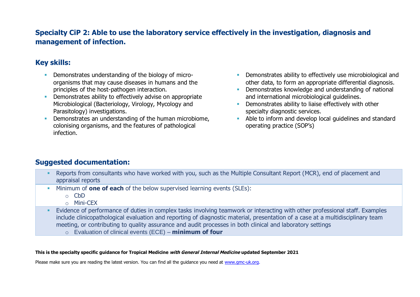## **Specialty CiP 2: Able to use the laboratory service effectively in the investigation, diagnosis and management of infection.**

## **Key skills:**

- **Demonstrates understanding of the biology of micro**organisms that may cause diseases in humans and the principles of the host-pathogen interaction.
- **EXECT** Demonstrates ability to effectively advise on appropriate Microbiological (Bacteriology, Virology, Mycology and Parasitology) investigations.
- Demonstrates an understanding of the human microbiome, colonising organisms, and the features of pathological infection.
- **•** Demonstrates ability to effectively use microbiological and other data, to form an appropriate differential diagnosis.
- **•** Demonstrates knowledge and understanding of national and international microbiological guidelines.
- **•** Demonstrates ability to liaise effectively with other specialty diagnostic services.
- Able to inform and develop local guidelines and standard operating practice (SOP's)

#### **Suggested documentation:**

- **EXECTS from consultants who have worked with you, such as the Multiple Consultant Report (MCR), end of placement and** appraisal reports
- Minimum of **one of each** of the below supervised learning events (SLEs):
	- $\circ$  CbD
	- o Mini-CEX
- **E** Evidence of performance of duties in complex tasks involving teamwork or interacting with other professional staff. Examples include clinicopathological evaluation and reporting of diagnostic material, presentation of a case at a multidisciplinary team meeting, or contributing to quality assurance and audit processes in both clinical and laboratory settings
	- o Evaluation of clinical events (ECE) **minimum of four**

#### **This is the specialty specific guidance for Tropical Medicine with General Internal Medicine updated September 2021**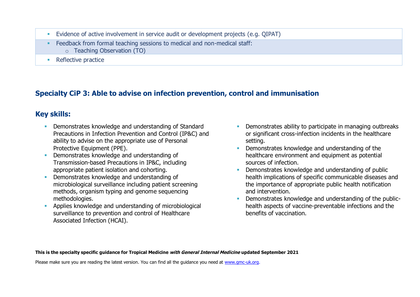- Evidence of active involvement in service audit or development projects (e.g. QIPAT)
- Feedback from formal teaching sessions to medical and non-medical staff:
	- o Teaching Observation (TO)
- Reflective practice

# **Specialty CiP 3: Able to advise on infection prevention, control and immunisation**

# **Key skills:**

- **Demonstrates knowledge and understanding of Standard** Precautions in Infection Prevention and Control (IP&C) and ability to advise on the appropriate use of Personal Protective Equipment (PPE).
- Demonstrates knowledge and understanding of Transmission-based Precautions in IP&C, including appropriate patient isolation and cohorting.
- Demonstrates knowledge and understanding of microbiological surveillance including patient screening methods, organism typing and genome sequencing methodologies.
- **EXECUTE:** Applies knowledge and understanding of microbiological surveillance to prevention and control of Healthcare Associated Infection (HCAI).
- Demonstrates ability to participate in managing outbreaks or significant cross-infection incidents in the healthcare setting.
- **Demonstrates knowledge and understanding of the** healthcare environment and equipment as potential sources of infection.
- Demonstrates knowledge and understanding of public health implications of specific communicable diseases and the importance of appropriate public health notification and intervention.
- Demonstrates knowledge and understanding of the publichealth aspects of vaccine-preventable infections and the benefits of vaccination.

**This is the specialty specific guidance for Tropical Medicine with General Internal Medicine updated September 2021**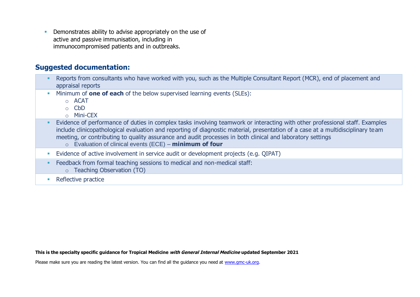**• Demonstrates ability to advise appropriately on the use of** active and passive immunisation, including in immunocompromised patients and in outbreaks.

#### **Suggested documentation:**

- **EXECTS FREPORTS from consultants who have worked with you, such as the Multiple Consultant Report (MCR), end of placement and** appraisal reports
- Minimum of **one of each** of the below supervised learning events (SLEs):
	- $\circ$  ACAT
	- o CbD
	- o Mini-CEX
- Evidence of performance of duties in complex tasks involving teamwork or interacting with other professional staff. Examples include clinicopathological evaluation and reporting of diagnostic material, presentation of a case at a multidisciplinary team meeting, or contributing to quality assurance and audit processes in both clinical and laboratory settings
	- o Evaluation of clinical events (ECE) **minimum of four**
- **E** Evidence of active involvement in service audit or development projects (e.g. OIPAT)
- Feedback from formal teaching sessions to medical and non-medical staff:
	- o Teaching Observation (TO)
- Reflective practice

**This is the specialty specific guidance for Tropical Medicine with General Internal Medicine updated September 2021**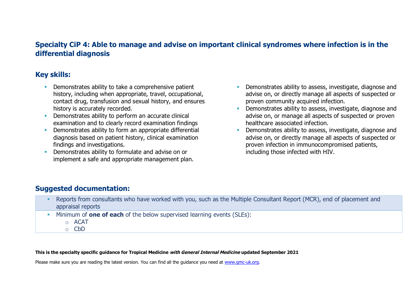### **Specialty CiP 4: Able to manage and advise on important clinical syndromes where infection is in the differential diagnosis**

#### **Key skills:**

- **EXECUTE:** Demonstrates ability to take a comprehensive patient history, including when appropriate, travel, occupational, contact drug, transfusion and sexual history, and ensures history is accurately recorded.
- **•** Demonstrates ability to perform an accurate clinical examination and to clearly record examination findings
- **•** Demonstrates ability to form an appropriate differential diagnosis based on patient history, clinical examination findings and investigations.
- Demonstrates ability to formulate and advise on or implement a safe and appropriate management plan.
- **EXECTE Demonstrates ability to assess, investigate, diagnose and** advise on, or directly manage all aspects of suspected or proven community acquired infection.
- **•** Demonstrates ability to assess, investigate, diagnose and advise on, or manage all aspects of suspected or proven healthcare associated infection.
- Demonstrates ability to assess, investigate, diagnose and advise on, or directly manage all aspects of suspected or proven infection in immunocompromised patients, including those infected with HIV.

## **Suggested documentation:**

- Reports from consultants who have worked with you, such as the Multiple Consultant Report (MCR), end of placement and appraisal reports
- Minimum of **one of each** of the below supervised learning events (SLEs):
	- o ACAT
	- o CbD

#### **This is the specialty specific guidance for Tropical Medicine with General Internal Medicine updated September 2021**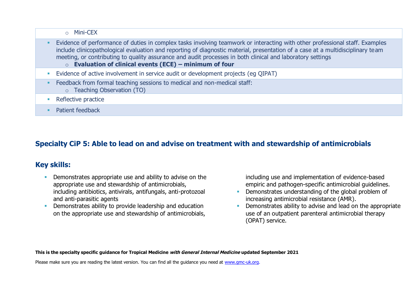o Mini-CEX

- **Evidence of performance of duties in complex tasks involving teamwork or interacting with other professional staff. Examples** include clinicopathological evaluation and reporting of diagnostic material, presentation of a case at a multidisciplinary team meeting, or contributing to quality assurance and audit processes in both clinical and laboratory settings
	- o **Evaluation of clinical events (ECE) – minimum of four**
- **E**vidence of active involvement in service audit or development projects (eq QIPAT)
- Feedback from formal teaching sessions to medical and non-medical staff:
	- o Teaching Observation (TO)
- Reflective practice
- **•** Patient feedback

# **Specialty CiP 5: Able to lead on and advise on treatment with and stewardship of antimicrobials**

## **Key skills:**

- **Demonstrates appropriate use and ability to advise on the** appropriate use and stewardship of antimicrobials, including antibiotics, antivirals, antifungals, anti-protozoal and anti-parasitic agents
- **•** Demonstrates ability to provide leadership and education on the appropriate use and stewardship of antimicrobials,

including use and implementation of evidence-based empiric and pathogen-specific antimicrobial guidelines.

- **•** Demonstrates understanding of the global problem of increasing antimicrobial resistance (AMR).
- Demonstrates ability to advise and lead on the appropriate use of an outpatient parenteral antimicrobial therapy (OPAT) service.

**This is the specialty specific guidance for Tropical Medicine with General Internal Medicine updated September 2021**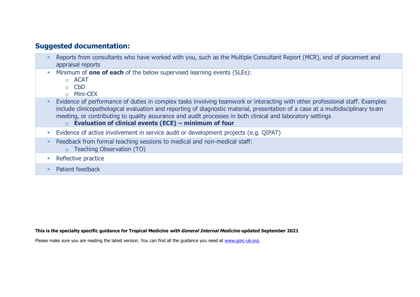- Reports from consultants who have worked with you, such as the Multiple Consultant Report (MCR), end of placement and appraisal reports
- Minimum of **one of each** of the below supervised learning events (SLEs):
	- o ACAT
	- o CbD
	- o Mini-CEX
- **Evidence of performance of duties in complex tasks involving teamwork or interacting with other professional staff. Examples** include clinicopathological evaluation and reporting of diagnostic material, presentation of a case at a multidisciplinary team meeting, or contributing to quality assurance and audit processes in both clinical and laboratory settings
	- o **Evaluation of clinical events (ECE) – minimum of four**
- **Evidence of active involvement in service audit or development projects (e.g. QIPAT)**
- **Example 2** Feedback from formal teaching sessions to medical and non-medical staff:
	- o Teaching Observation (TO)
- Reflective practice
- **•** Patient feedback

**This is the specialty specific guidance for Tropical Medicine with General Internal Medicine updated September 2021**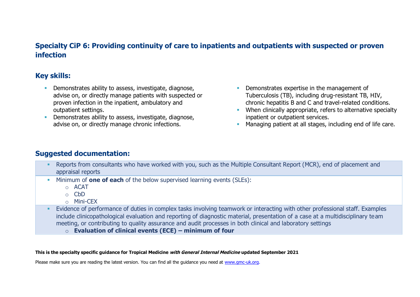## **Specialty CiP 6: Providing continuity of care to inpatients and outpatients with suspected or proven infection**

#### **Key skills:**

- **•** Demonstrates ability to assess, investigate, diagnose, advise on, or directly manage patients with suspected or proven infection in the inpatient, ambulatory and outpatient settings.
- **EXECTE Demonstrates ability to assess, investigate, diagnose,** advise on, or directly manage chronic infections.
- **Demonstrates expertise in the management of** Tuberculosis (TB), including drug-resistant TB, HIV, chronic hepatitis B and C and travel-related conditions.
- **EXECUTE:** When clinically appropriate, refers to alternative specialty inpatient or outpatient services.
- **EXECT** Managing patient at all stages, including end of life care.

#### **Suggested documentation:**

- **EXECTS FREPORTS from consultants who have worked with you, such as the Multiple Consultant Report (MCR), end of placement and** appraisal reports
- Minimum of **one of each** of the below supervised learning events (SLEs):
	- o ACAT
	- o CbD
	- o Mini-CEX
- Evidence of performance of duties in complex tasks involving teamwork or interacting with other professional staff. Examples include clinicopathological evaluation and reporting of diagnostic material, presentation of a case at a multidisciplinary team meeting, or contributing to quality assurance and audit processes in both clinical and laboratory settings
	- o **Evaluation of clinical events (ECE) – minimum of four**

#### **This is the specialty specific guidance for Tropical Medicine with General Internal Medicine updated September 2021**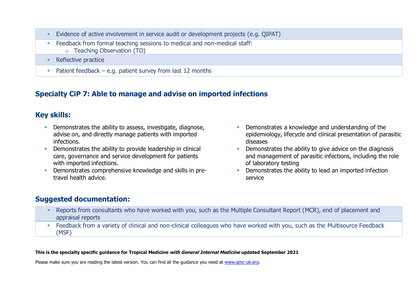- **E** Evidence of active involvement in service audit or development projects (e.g. QIPAT)
- **Example 2** Feedback from formal teaching sessions to medical and non-medical staff:
	- o Teaching Observation (TO)
- Reflective practice
- **•** Patient feedback e.g. patient survey from last 12 months

## **Specialty CiP 7: Able to manage and advise on imported infections**

## **Key skills:**

- **EXECTE Demonstrates the ability to assess, investigate, diagnose,** advise on, and directly manage patients with imported infections.
- **•** Demonstrates the ability to provide leadership in clinical care, governance and service development for patients with imported infections.
- **•** Demonstrates comprehensive knowledge and skills in pretravel health advice.
- **•** Demonstrates a knowledge and understanding of the epidemiology, lifecycle and clinical presentation of parasitic diseases
- **•** Demonstrates the ability to give advice on the diagnosis and management of parasitic infections, including the role of laboratory testing
- **•** Demonstrates the ability to lead an imported infection service

## **Suggested documentation:**

- Reports from consultants who have worked with you, such as the Multiple Consultant Report (MCR), end of placement and appraisal reports
- **EXECT ADDEX FROM A variety of clinical and non-clinical colleagues who have worked with you, such as the Multisource Feedback** (MSF)

#### **This is the specialty specific guidance for Tropical Medicine with General Internal Medicine updated September 2021**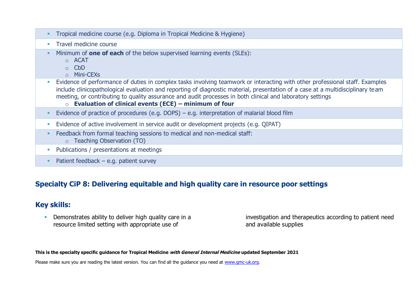|  | Tropical medicine course (e.g. Diploma in Tropical Medicine & Hygiene) |  |  |  |
|--|------------------------------------------------------------------------|--|--|--|
|--|------------------------------------------------------------------------|--|--|--|

- **·** Travel medicine course
- Minimum of **one of each** of the below supervised learning events (SLEs):
	- o ACAT
	- o CbD
	- o Mini-CEXs
- Evidence of performance of duties in complex tasks involving teamwork or interacting with other professional staff. Examples include clinicopathological evaluation and reporting of diagnostic material, presentation of a case at a multidisciplinary team meeting, or contributing to quality assurance and audit processes in both clinical and laboratory settings
	- o **Evaluation of clinical events (ECE) – minimum of four**
- **E**vidence of practice of procedures (e.g. DOPS) e.g. interpretation of malarial blood film
- **E** Evidence of active involvement in service audit or development projects (e.g. QIPAT)
- Feedback from formal teaching sessions to medical and non-medical staff:
	- o Teaching Observation (TO)
- **Publications / presentations at meetings**
- $\blacksquare$  Patient feedback e.g. patient survey

#### **Specialty CiP 8: Delivering equitable and high quality care in resource poor settings**

#### **Key skills:**

**• Demonstrates ability to deliver high quality care in a** resource limited setting with appropriate use of

investigation and therapeutics according to patient need and available supplies

**This is the specialty specific guidance for Tropical Medicine with General Internal Medicine updated September 2021**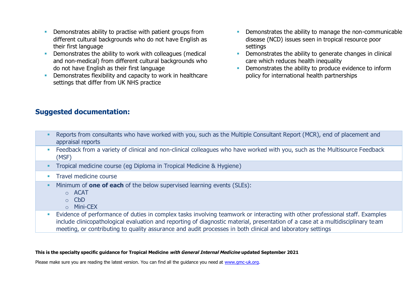- **EXECT** Demonstrates ability to practise with patient groups from different cultural backgrounds who do not have English as their first language
- Demonstrates the ability to work with colleagues (medical and non-medical) from different cultural backgrounds who do not have English as their first language
- **•** Demonstrates flexibility and capacity to work in healthcare settings that differ from UK NHS practice
- **•** Demonstrates the ability to manage the non-communicable disease (NCD) issues seen in tropical resource poor settings
- **•** Demonstrates the ability to generate changes in clinical care which reduces health inequality
- **EXECUTE:** Demonstrates the ability to produce evidence to inform policy for international health partnerships

| Reports from consultants who have worked with you, such as the Multiple Consultant Report (MCR), end of placement and<br>appraisal reports |
|--------------------------------------------------------------------------------------------------------------------------------------------|
| Feedback from a variety of clinical and non-clinical colleagues who have worked with you, such as the Multisource Feedback<br>(MSF)        |
| Tropical medicine course (eg Diploma in Tropical Medicine & Hygiene)                                                                       |
| Travel medicine course                                                                                                                     |
| Minimum of <b>one of each</b> of the below supervised learning events (SLEs):<br>$\circ$ ACAT<br>$\circ$ CbD<br>o Mini-CEX                 |
| Evidence of performance of duties in complex tasks involving teamwork or interacting with other professional staff. Examples               |

include clinicopathological evaluation and reporting of diagnostic material, presentation of a case at a multidisciplinary team meeting, or contributing to quality assurance and audit processes in both clinical and laboratory settings

#### **This is the specialty specific guidance for Tropical Medicine with General Internal Medicine updated September 2021**